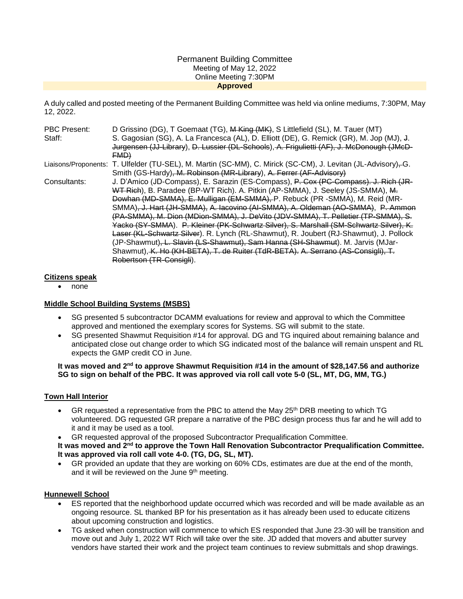#### Permanent Building Committee Meeting of May 12, 2022 Online Meeting 7:30PM **Approved**

A duly called and posted meeting of the Permanent Building Committee was held via online mediums, 7:30PM, May 12, 2022.

| PBC Present: | D Grissino (DG), T Goemaat (TG), M King (MK), S Littlefield (SL), M. Tauer (MT)                              |
|--------------|--------------------------------------------------------------------------------------------------------------|
| Staff:       | S. Gagosian (SG), A. La Francesca (AL), D. Elliott (DE), G. Remick (GR), M. Jop (MJ), J.                     |
|              | Jurgensen (JJ-Library), D. Lussier (DL-Schools), A. Frigulietti (AF), J. McDonough (JMcD-                    |
|              | EMD)                                                                                                         |
|              | Liaisons/Proponents: T. Ulfelder (TU-SEL), M. Martin (SC-MM), C. Mirick (SC-CM), J. Levitan (JL-Advisory)–G. |
|              | Smith (GS-Hardy), M. Robinson (MR-Library), A. Ferrer (AF-Advisory)                                          |
| Consultants: | J. D'Amico (JD-Compass), E. Sarazin (ES-Compass), P. Cox (PC-Compass). J. Rich (JR-                          |
|              | WT Rich), B. Paradee (BP-WT Rich). A. Pitkin (AP-SMMA), J. Seeley (JS-SMMA), M.                              |
|              | Dowhan (MD-SMMA), E. Mulligan (EM-SMMA), P. Rebuck (PR -SMMA), M. Reid (MR-                                  |
|              | SMMA) <del>, J. Hart (JH-SMMA), A. Iacovino (AI-SMMA), A. Oldeman (AO-SMMA)</del> , P. Ammon                 |
|              | (PA-SMMA), M. Dion (MDion-SMMA), J. DeVito (JDV-SMMA), T. Pelletier (TP-SMMA), S.                            |
|              | Yacko (SY-SMMA). P. Kleiner (PK-Schwartz Silver), S. Marshall (SM-Schwartz Silver), K.                       |
|              | Laser (KL-Schwartz Silver). R. Lynch (RL-Shawmut), R. Joubert (RJ-Shawmut), J. Pollock                       |
|              | (JP-Shawmut) <del>, L. Slavin (LS-Shawmut), Sam Hanna (SH-Shawmut</del> ), M. Jarvis (MJar-                  |
|              | Shawmut), K. Ho (KH-BETA), T. de Ruiter (TdR-BETA). A. Serrano (AS-Consigli), T.                             |
|              | Robertson (TR-Consigli).                                                                                     |

### **Citizens speak**

• none

## **Middle School Building Systems (MSBS)**

- SG presented 5 subcontractor DCAMM evaluations for review and approval to which the Committee approved and mentioned the exemplary scores for Systems. SG will submit to the state.
- SG presented Shawmut Requisition #14 for approval. DG and TG inquired about remaining balance and anticipated close out change order to which SG indicated most of the balance will remain unspent and RL expects the GMP credit CO in June.

### **It was moved and 2nd to approve Shawmut Requisition #14 in the amount of \$28,147.56 and authorize SG to sign on behalf of the PBC. It was approved via roll call vote 5-0 (SL, MT, DG, MM, TG.)**

## **Town Hall Interior**

- GR requested a representative from the PBC to attend the May  $25<sup>th</sup> DRB$  meeting to which TG volunteered. DG requested GR prepare a narrative of the PBC design process thus far and he will add to it and it may be used as a tool.
- GR requested approval of the proposed Subcontractor Prequalification Committee.

It was moved and 2<sup>nd</sup> to approve the Town Hall Renovation Subcontractor Prequalification Committee. **It was approved via roll call vote 4-0. (TG, DG, SL, MT).** 

 GR provided an update that they are working on 60% CDs, estimates are due at the end of the month, and it will be reviewed on the June 9<sup>th</sup> meeting.

#### **Hunnewell School**

- ES reported that the neighborhood update occurred which was recorded and will be made available as an ongoing resource. SL thanked BP for his presentation as it has already been used to educate citizens about upcoming construction and logistics.
- TG asked when construction will commence to which ES responded that June 23-30 will be transition and move out and July 1, 2022 WT Rich will take over the site. JD added that movers and abutter survey vendors have started their work and the project team continues to review submittals and shop drawings.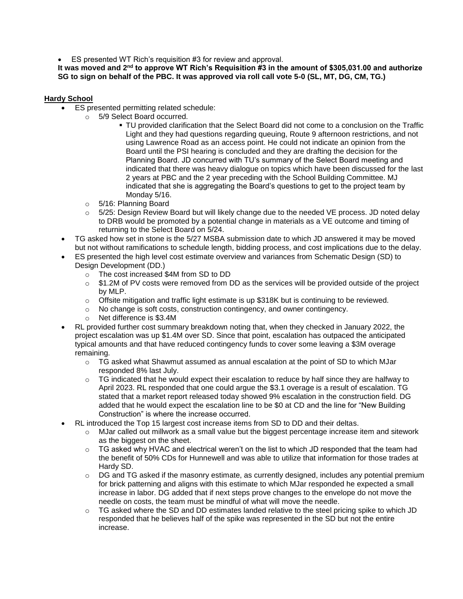ES presented WT Rich's requisition #3 for review and approval.

**It was moved and 2nd to approve WT Rich's Requisition #3 in the amount of \$305,031.00 and authorize SG to sign on behalf of the PBC. It was approved via roll call vote 5-0 (SL, MT, DG, CM, TG.)**

## **Hardy School**

- ES presented permitting related schedule:
	- o 5/9 Select Board occurred.
		- TU provided clarification that the Select Board did not come to a conclusion on the Traffic Light and they had questions regarding queuing, Route 9 afternoon restrictions, and not using Lawrence Road as an access point. He could not indicate an opinion from the Board until the PSI hearing is concluded and they are drafting the decision for the Planning Board. JD concurred with TU's summary of the Select Board meeting and indicated that there was heavy dialogue on topics which have been discussed for the last 2 years at PBC and the 2 year preceding with the School Building Committee. MJ indicated that she is aggregating the Board's questions to get to the project team by Monday 5/16.
		- o 5/16: Planning Board
		- o 5/25: Design Review Board but will likely change due to the needed VE process. JD noted delay to DRB would be promoted by a potential change in materials as a VE outcome and timing of returning to the Select Board on 5/24.
- TG asked how set in stone is the 5/27 MSBA submission date to which JD answered it may be moved but not without ramifications to schedule length, bidding process, and cost implications due to the delay.
- ES presented the high level cost estimate overview and variances from Schematic Design (SD) to Design Development (DD.)
	- o The cost increased \$4M from SD to DD
	- o \$1.2M of PV costs were removed from DD as the services will be provided outside of the project by MLP.
	- o Offsite mitigation and traffic light estimate is up \$318K but is continuing to be reviewed.
	- $\circ$  No change is soft costs, construction contingency, and owner contingency.
	- o Net difference is \$3.4M
- RL provided further cost summary breakdown noting that, when they checked in January 2022, the project escalation was up \$1.4M over SD. Since that point, escalation has outpaced the anticipated typical amounts and that have reduced contingency funds to cover some leaving a \$3M overage remaining.
	- $\circ$  TG asked what Shawmut assumed as annual escalation at the point of SD to which MJar responded 8% last July.
	- $\circ$  TG indicated that he would expect their escalation to reduce by half since they are halfway to April 2023. RL responded that one could argue the \$3.1 overage is a result of escalation. TG stated that a market report released today showed 9% escalation in the construction field. DG added that he would expect the escalation line to be \$0 at CD and the line for "New Building Construction" is where the increase occurred.
- RL introduced the Top 15 largest cost increase items from SD to DD and their deltas.
	- $\circ$  MJar called out millwork as a small value but the biggest percentage increase item and sitework as the biggest on the sheet.
	- $\circ$  TG asked why HVAC and electrical weren't on the list to which JD responded that the team had the benefit of 50% CDs for Hunnewell and was able to utilize that information for those trades at Hardy SD.
	- $\circ$  DG and TG asked if the masonry estimate, as currently designed, includes any potential premium for brick patterning and aligns with this estimate to which MJar responded he expected a small increase in labor. DG added that if next steps prove changes to the envelope do not move the needle on costs, the team must be mindful of what will move the needle.
	- $\circ$  TG asked where the SD and DD estimates landed relative to the steel pricing spike to which JD responded that he believes half of the spike was represented in the SD but not the entire increase.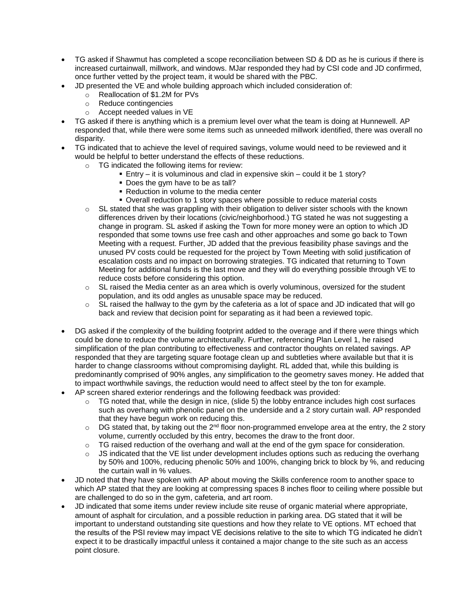- TG asked if Shawmut has completed a scope reconciliation between SD & DD as he is curious if there is increased curtainwall, millwork, and windows. MJar responded they had by CSI code and JD confirmed, once further vetted by the project team, it would be shared with the PBC.
	- JD presented the VE and whole building approach which included consideration of:
		- o Reallocation of \$1.2M for PVs
		- o Reduce contingencies
		- o Accept needed values in VE
- TG asked if there is anything which is a premium level over what the team is doing at Hunnewell. AP responded that, while there were some items such as unneeded millwork identified, there was overall no disparity.
- TG indicated that to achieve the level of required savings, volume would need to be reviewed and it would be helpful to better understand the effects of these reductions.
	- o TG indicated the following items for review:
		- Entry it is voluminous and clad in expensive skin could it be 1 story?
		- Does the gym have to be as tall?
		- Reduction in volume to the media center
		- Overall reduction to 1 story spaces where possible to reduce material costs
	- $\circ$  SL stated that she was grappling with their obligation to deliver sister schools with the known differences driven by their locations (civic/neighborhood.) TG stated he was not suggesting a change in program. SL asked if asking the Town for more money were an option to which JD responded that some towns use free cash and other approaches and some go back to Town Meeting with a request. Further, JD added that the previous feasibility phase savings and the unused PV costs could be requested for the project by Town Meeting with solid justification of escalation costs and no impact on borrowing strategies. TG indicated that returning to Town Meeting for additional funds is the last move and they will do everything possible through VE to reduce costs before considering this option.
	- $\circ$  SL raised the Media center as an area which is overly voluminous, oversized for the student population, and its odd angles as unusable space may be reduced.
	- $\circ$  SL raised the hallway to the gym by the cafeteria as a lot of space and JD indicated that will go back and review that decision point for separating as it had been a reviewed topic.
- DG asked if the complexity of the building footprint added to the overage and if there were things which could be done to reduce the volume architecturally. Further, referencing Plan Level 1, he raised simplification of the plan contributing to effectiveness and contractor thoughts on related savings. AP responded that they are targeting square footage clean up and subtleties where available but that it is harder to change classrooms without compromising daylight. RL added that, while this building is predominantly comprised of 90% angles, any simplification to the geometry saves money. He added that to impact worthwhile savings, the reduction would need to affect steel by the ton for example.
- AP screen shared exterior renderings and the following feedback was provided:
	- $\circ$  TG noted that, while the design in nice, (slide 5) the lobby entrance includes high cost surfaces such as overhang with phenolic panel on the underside and a 2 story curtain wall. AP responded that they have begun work on reducing this.
	- $\circ$  DG stated that, by taking out the 2<sup>nd</sup> floor non-programmed envelope area at the entry, the 2 story volume, currently occluded by this entry, becomes the draw to the front door.
	- TG raised reduction of the overhang and wall at the end of the gym space for consideration.
	- $\circ$  JS indicated that the VE list under development includes options such as reducing the overhang by 50% and 100%, reducing phenolic 50% and 100%, changing brick to block by %, and reducing the curtain wall in % values.
- JD noted that they have spoken with AP about moving the Skills conference room to another space to which AP stated that they are looking at compressing spaces 8 inches floor to ceiling where possible but are challenged to do so in the gym, cafeteria, and art room.
- JD indicated that some items under review include site reuse of organic material where appropriate, amount of asphalt for circulation, and a possible reduction in parking area. DG stated that it will be important to understand outstanding site questions and how they relate to VE options. MT echoed that the results of the PSI review may impact VE decisions relative to the site to which TG indicated he didn't expect it to be drastically impactful unless it contained a major change to the site such as an access point closure.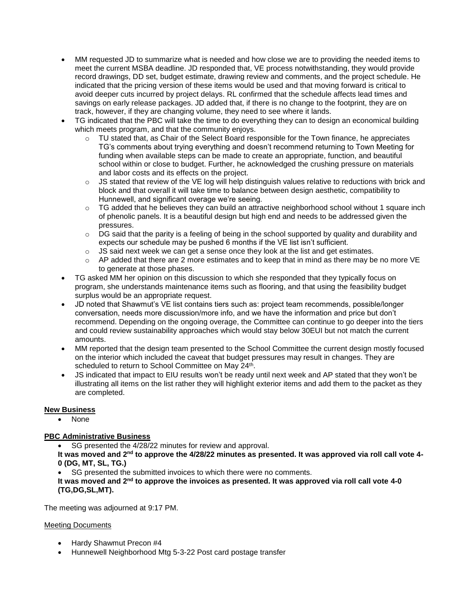- MM requested JD to summarize what is needed and how close we are to providing the needed items to meet the current MSBA deadline. JD responded that, VE process notwithstanding, they would provide record drawings, DD set, budget estimate, drawing review and comments, and the project schedule. He indicated that the pricing version of these items would be used and that moving forward is critical to avoid deeper cuts incurred by project delays. RL confirmed that the schedule affects lead times and savings on early release packages. JD added that, if there is no change to the footprint, they are on track, however, if they are changing volume, they need to see where it lands.
- TG indicated that the PBC will take the time to do everything they can to design an economical building which meets program, and that the community enjoys.
	- $\circ$  TU stated that, as Chair of the Select Board responsible for the Town finance, he appreciates TG's comments about trying everything and doesn't recommend returning to Town Meeting for funding when available steps can be made to create an appropriate, function, and beautiful school within or close to budget. Further, he acknowledged the crushing pressure on materials and labor costs and its effects on the project.
	- $\circ$  JS stated that review of the VE log will help distinguish values relative to reductions with brick and block and that overall it will take time to balance between design aesthetic, compatibility to Hunnewell, and significant overage we're seeing.
	- $\circ$  TG added that he believes they can build an attractive neighborhood school without 1 square inch of phenolic panels. It is a beautiful design but high end and needs to be addressed given the pressures.
	- $\circ$  DG said that the parity is a feeling of being in the school supported by quality and durability and expects our schedule may be pushed 6 months if the VE list isn't sufficient.
	- $\circ$  JS said next week we can get a sense once they look at the list and get estimates.
	- $\circ$  AP added that there are 2 more estimates and to keep that in mind as there may be no more VE to generate at those phases.
- TG asked MM her opinion on this discussion to which she responded that they typically focus on program, she understands maintenance items such as flooring, and that using the feasibility budget surplus would be an appropriate request.
- JD noted that Shawmut's VE list contains tiers such as: project team recommends, possible/longer conversation, needs more discussion/more info, and we have the information and price but don't recommend. Depending on the ongoing overage, the Committee can continue to go deeper into the tiers and could review sustainability approaches which would stay below 30EUI but not match the current amounts.
- MM reported that the design team presented to the School Committee the current design mostly focused on the interior which included the caveat that budget pressures may result in changes. They are scheduled to return to School Committee on May 24<sup>th</sup>.
- JS indicated that impact to EIU results won't be ready until next week and AP stated that they won't be illustrating all items on the list rather they will highlight exterior items and add them to the packet as they are completed.

# **New Business**

• None

# **PBC Administrative Business**

• SG presented the 4/28/22 minutes for review and approval.

**It was moved and 2nd to approve the 4/28/22 minutes as presented. It was approved via roll call vote 4- 0 (DG, MT, SL, TG.)**

• SG presented the submitted invoices to which there were no comments.

**It was moved and 2nd to approve the invoices as presented. It was approved via roll call vote 4-0 (TG,DG,SL,MT).**

The meeting was adjourned at 9:17 PM.

## Meeting Documents

- Hardy Shawmut Precon #4
- Hunnewell Neighborhood Mtg 5-3-22 Post card postage transfer